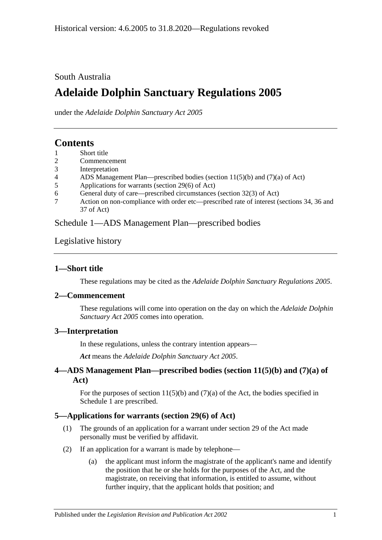South Australia

# **Adelaide Dolphin Sanctuary Regulations 2005**

under the *Adelaide Dolphin Sanctuary Act 2005*

## **Contents**

- 1 [Short title](#page-0-0)
- 2 [Commencement](#page-0-1)
- 3 [Interpretation](#page-0-2)
- 4 [ADS Management Plan—prescribed bodies \(section 11\(5\)\(b\) and \(7\)\(a\) of Act\)](#page-0-3)
- 5 [Applications for warrants \(section 29\(6\) of Act\)](#page-0-4)
- 6 [General duty of care—prescribed circumstances \(section 32\(3\) of Act\)](#page-1-0)
- 7 [Action on non-compliance with order etc—prescribed rate of interest \(sections 34, 36 and](#page-1-1)  [37 of Act\)](#page-1-1)

[Schedule 1—ADS Management Plan—prescribed bodies](#page-1-2)

[Legislative history](#page-2-0)

## <span id="page-0-0"></span>**1—Short title**

These regulations may be cited as the *Adelaide Dolphin Sanctuary Regulations 2005*.

#### <span id="page-0-1"></span>**2—Commencement**

These regulations will come into operation on the day on which the *[Adelaide Dolphin](http://www.legislation.sa.gov.au/index.aspx?action=legref&type=act&legtitle=Adelaide%20Dolphin%20Sanctuary%20Act%202005)  [Sanctuary Act](http://www.legislation.sa.gov.au/index.aspx?action=legref&type=act&legtitle=Adelaide%20Dolphin%20Sanctuary%20Act%202005) 2005* comes into operation.

## <span id="page-0-2"></span>**3—Interpretation**

In these regulations, unless the contrary intention appears—

*Act* means the *[Adelaide Dolphin Sanctuary Act 2005](http://www.legislation.sa.gov.au/index.aspx?action=legref&type=act&legtitle=Adelaide%20Dolphin%20Sanctuary%20Act%202005)*.

## <span id="page-0-3"></span>**4—ADS Management Plan—prescribed bodies (section 11(5)(b) and (7)(a) of Act)**

For the purposes of section  $11(5)(b)$  and  $(7)(a)$  of the Act, the bodies specified in [Schedule 1](#page-1-2) are prescribed.

## <span id="page-0-4"></span>**5—Applications for warrants (section 29(6) of Act)**

- (1) The grounds of an application for a warrant under section 29 of the Act made personally must be verified by affidavit.
- (2) If an application for a warrant is made by telephone—
	- (a) the applicant must inform the magistrate of the applicant's name and identify the position that he or she holds for the purposes of the Act, and the magistrate, on receiving that information, is entitled to assume, without further inquiry, that the applicant holds that position; and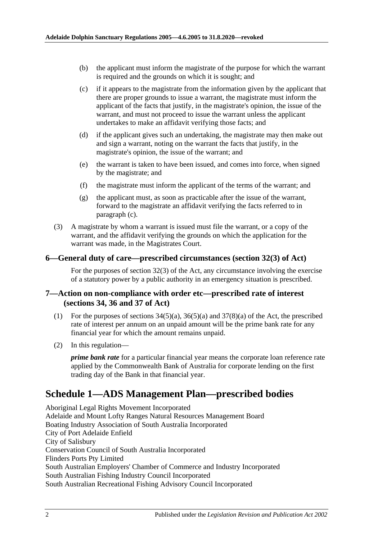- (b) the applicant must inform the magistrate of the purpose for which the warrant is required and the grounds on which it is sought; and
- <span id="page-1-3"></span>(c) if it appears to the magistrate from the information given by the applicant that there are proper grounds to issue a warrant, the magistrate must inform the applicant of the facts that justify, in the magistrate's opinion, the issue of the warrant, and must not proceed to issue the warrant unless the applicant undertakes to make an affidavit verifying those facts; and
- (d) if the applicant gives such an undertaking, the magistrate may then make out and sign a warrant, noting on the warrant the facts that justify, in the magistrate's opinion, the issue of the warrant; and
- (e) the warrant is taken to have been issued, and comes into force, when signed by the magistrate; and
- (f) the magistrate must inform the applicant of the terms of the warrant; and
- (g) the applicant must, as soon as practicable after the issue of the warrant, forward to the magistrate an affidavit verifying the facts referred to in [paragraph](#page-1-3) (c).
- (3) A magistrate by whom a warrant is issued must file the warrant, or a copy of the warrant, and the affidavit verifying the grounds on which the application for the warrant was made, in the Magistrates Court.

#### <span id="page-1-0"></span>**6—General duty of care—prescribed circumstances (section 32(3) of Act)**

For the purposes of section 32(3) of the Act, any circumstance involving the exercise of a statutory power by a public authority in an emergency situation is prescribed.

#### <span id="page-1-1"></span>**7—Action on non-compliance with order etc—prescribed rate of interest (sections 34, 36 and 37 of Act)**

- (1) For the purposes of sections  $34(5)(a)$ ,  $36(5)(a)$  and  $37(8)(a)$  of the Act, the prescribed rate of interest per annum on an unpaid amount will be the prime bank rate for any financial year for which the amount remains unpaid.
- (2) In this regulation—

*prime bank rate* for a particular financial year means the corporate loan reference rate applied by the Commonwealth Bank of Australia for corporate lending on the first trading day of the Bank in that financial year.

## <span id="page-1-2"></span>**Schedule 1—ADS Management Plan—prescribed bodies**

Aboriginal Legal Rights Movement Incorporated Adelaide and Mount Lofty Ranges Natural Resources Management Board Boating Industry Association of South Australia Incorporated City of Port Adelaide Enfield City of Salisbury Conservation Council of South Australia Incorporated Flinders Ports Pty Limited South Australian Employers' Chamber of Commerce and Industry Incorporated South Australian Fishing Industry Council Incorporated South Australian Recreational Fishing Advisory Council Incorporated